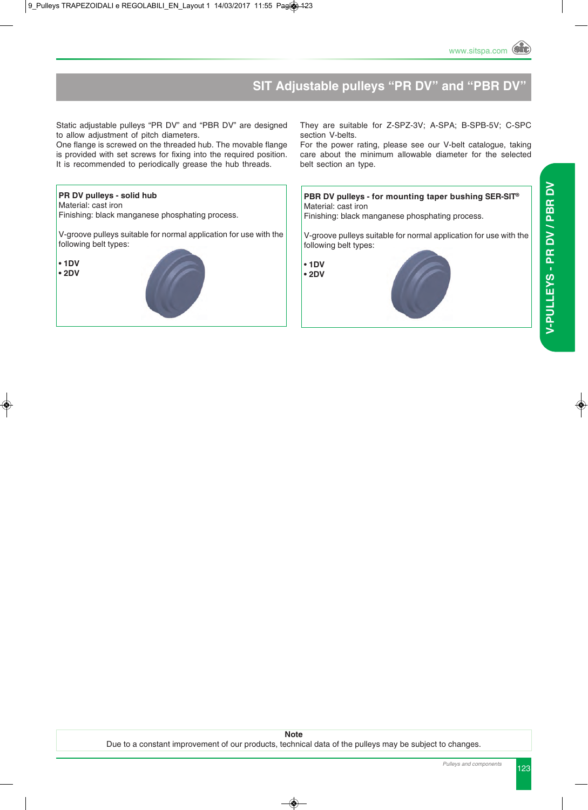## **SIT Adjustable pulleys "PR DV" and "PBR D**

Static adjustable pulleys "PR DV" and "PBR DV" are designed to allow adjustment of pitch diameters.

One flange is screwed on the threaded hub. The movable flange is provided with set screws for fixing into the required position. It is recommended to periodically grease the hub threads.

#### **PR DV pulleys - solid hub**

Material: cast iron

Finishing: black manganese phosphating process.

V-groove pulleys suitable for normal application for use with the following belt types:

• **1DV • 2DV**



They are suitable for Z-SPZ-3V; A-SPA; B-SPB-5V; C-SPC section V-belts.

For the power rating, please see our V-belt catalogue, taking care about the minimum allowable diameter for the selected belt section an type.

#### **PBR DV pulleys - for mounting taper bushing SER-SIT®** Material: cast iron

Finishing: black manganese phosphating process.

V-groove pulleys suitable for normal application for use with the following belt types:

• **1DV • 2DV**



**Note** Due to a constant improvement of our products, technical data of the pulleys may be subject to changes.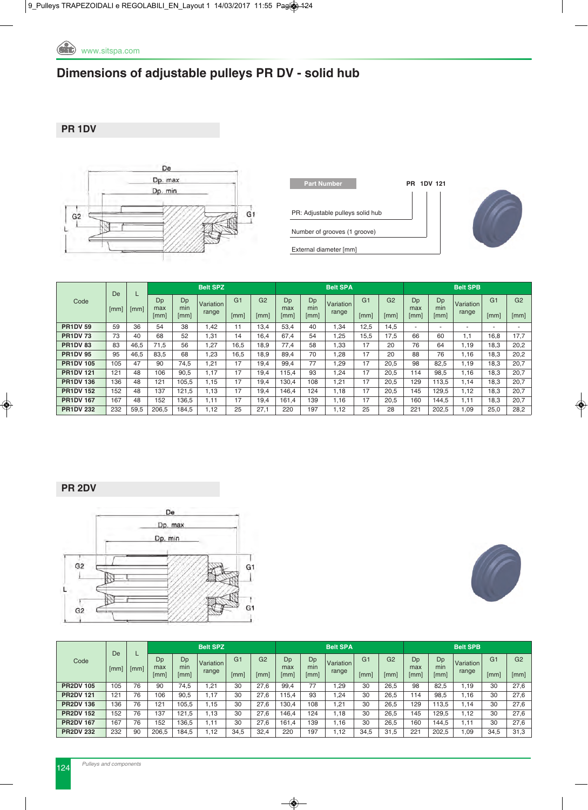

# **Dimensions of adjustable pulleys PR DV - solid hub**

**PR 1DV**



| <b>Part Number</b>               |
|----------------------------------|
| PR: Adjustable pulleys solid hub |
| Number of grooves (1 groove)     |
| External diameter [mm]           |



**Part Number PR 1DV 121**

|                  | De   |      |                   |                                 | <b>Belt SPZ</b>    |                        |                        |                   |                   | <b>Belt SPA</b>    |                        |                                               | <b>Belt SPB</b>   |                          |                          |                        |                          |  |
|------------------|------|------|-------------------|---------------------------------|--------------------|------------------------|------------------------|-------------------|-------------------|--------------------|------------------------|-----------------------------------------------|-------------------|--------------------------|--------------------------|------------------------|--------------------------|--|
| Code             | [mm] | [mm] | Dp<br>max<br>[mm] | Dp<br>min<br>$\lceil mm \rceil$ | Variation<br>range | G <sub>1</sub><br>[mm] | G <sub>2</sub><br>[mm] | Dp<br>max<br>[mm] | Dp<br>min<br>[mm] | Variation<br>range | G <sub>1</sub><br>[mm] | G <sub>2</sub><br>$\lceil \mathsf{mm} \rceil$ | Dp<br>max<br>[mm] | Dp<br>min<br>[mm]        | Variation<br>range       | G <sub>1</sub><br>[mm] | G <sub>2</sub><br>[mm]   |  |
| <b>PR1DV 59</b>  | 59   | 36   | 54                | 38                              | 1,42               | 11                     | 13,4                   | 53.4              | 40                | 1,34               | 12.5                   | 14.5                                          | ٠                 | $\overline{\phantom{a}}$ | $\overline{\phantom{a}}$ |                        | $\overline{\phantom{a}}$ |  |
| <b>PR1DV73</b>   | 73   | 40   | 68                | 52                              | 1,31               | 14                     | 16,4                   | 67,4              | 54                | 1,25               | 15.5                   | 17.5                                          | 66                | 60                       | 1.1                      | 16,8                   | 17,7                     |  |
| <b>PR1DV83</b>   | 83   | 46,5 | 71.5              | 56                              | 1,27               | 16,5                   | 18,9                   | 77.4              | 58                | 1,33               | 17                     | 20                                            | 76                | 64                       | 1,19                     | 18.3                   | 20,2                     |  |
| <b>PR1DV95</b>   | 95   | 46.5 | 83.5              | 68                              | 1.23               | 16.5                   | 18.9                   | 89.4              | 70                | .28                | 17                     | 20                                            | 88                | 76                       | 1.16                     | 18.3                   | 20,2                     |  |
| <b>PR1DV 105</b> | 105  | 47   | 90                | 74,5                            | 1,21               | 17                     | 19,4                   | 99,4              | 77                | 1,29               | 17                     | 20,5                                          | 98                | 82,5                     | 1.19                     | 18.3                   | 20,7                     |  |
| <b>PR1DV 121</b> | 121  | 48   | 106               | 90,5                            | 1,17               | 17                     | 19.4                   | 115.4             | 93                | 1,24               | 17                     | 20,5                                          | 114               | 98,5                     | 1.16                     | 18.3                   | 20,7                     |  |
| <b>PR1DV 136</b> | 136  | 48   | 121               | 105.5                           | 1,15               | 17                     | 19,4                   | 130,4             | 108               | 21. ا              | 17                     | 20,5                                          | 129               | 113.5                    | 1.14                     | 18.3                   | 20,7                     |  |
| <b>PR1DV 152</b> | 152  | 48   | 137               | 121,5                           | 1,13               | 17                     | 19,4                   | 146,4             | 124               | 1,18               | 17                     | 20,5                                          | 145               | 129,5                    | 1.12                     | 18,3                   | 20,7                     |  |
| <b>PR1DV 167</b> | 167  | 48   | 152               | 136.5                           | 1.11               | 17                     | 19.4                   | 161.4             | 139               | 1,16               | 17                     | 20.5                                          | 160               | 144.5                    | 1.11                     | 18.3                   | 20,7                     |  |
| <b>PR1DV 232</b> | 232  | 59,5 | 206,5             | 184,5                           | 1,12               | 25                     | 27,1                   | 220               | 197               | 1,12               | 25                     | 28                                            | 221               | 202,5                    | 1,09                     | 25,0                   | 28,2                     |  |

### **PR 2DV**





|                  | De   |      |                   |                   | <b>Belt SPZ</b>    |                        |                        |                   |                   | <b>Belt SPA</b>    |                        | <b>Belt SPB</b>        |                   |                   |                    |                        |                        |  |
|------------------|------|------|-------------------|-------------------|--------------------|------------------------|------------------------|-------------------|-------------------|--------------------|------------------------|------------------------|-------------------|-------------------|--------------------|------------------------|------------------------|--|
| Code             | [mm] | [mm] | Dp<br>max<br>[mm] | Dp<br>min<br>[mm] | Variation<br>range | G <sub>1</sub><br>[mm] | G <sub>2</sub><br>[mm] | Dp<br>max<br>[mm] | Dp<br>min<br>[mm] | Variation<br>range | G <sub>1</sub><br>[mm] | G <sub>2</sub><br>[mm] | Dp<br>max<br>[mm] | Dp<br>min<br>[mm] | Variation<br>range | G <sub>1</sub><br>[mm] | G <sub>2</sub><br>[mm] |  |
| <b>PR2DV 105</b> | 105  | 76   | 90                | 74,5              | 1,21               | 30                     | 27,6                   | 99,4              | 77                | .29                | 30                     | 26.5                   | 98                | 82,5              | 1.19               | 30                     | 27,6                   |  |
| <b>PR2DV 121</b> | 121  | 76   | 106               | 90,5              | 1.17               | 30                     | 27.6                   | 15.4              | 93                | .24                | 30                     | 26,5                   | 114               | 98.5              | .16                | 30                     | 27,6                   |  |
| <b>PR2DV 136</b> | 136  | 76   | 121               | 105,5             | 1.15               | 30                     | 27,6                   | 130,4             | 108               | .21                | 30                     | 26,5                   | 129               | 113,5             | .14                | 30                     | 27,6                   |  |
| <b>PR2DV 152</b> | 152  | 76   | 137               | 121.5             | 1.13               | 30                     | 27.6                   | 146,4             | 124               | 1.18               | 30                     | 26,5                   | 145               | 129,5             | 1.12               | 30                     | 27,6                   |  |
| <b>PR2DV 167</b> | 167  | 76   | 152               | 136,5             | 1.11               | 30                     | 27.6                   | 161.4             | 139               | 1.16               | 30                     | 26,5                   | 160               | 144.5             | 1.11               | 30                     | 27,6                   |  |
| <b>PR2DV 232</b> | 232  | 90   | 206,5             | 184,5             | 1,12               | 34,5                   | 32,4                   | 220               | 197               | 1.12               | 34,5                   | 31,5                   | 221               | 202,5             | .09                | 34,5                   | 31,3                   |  |